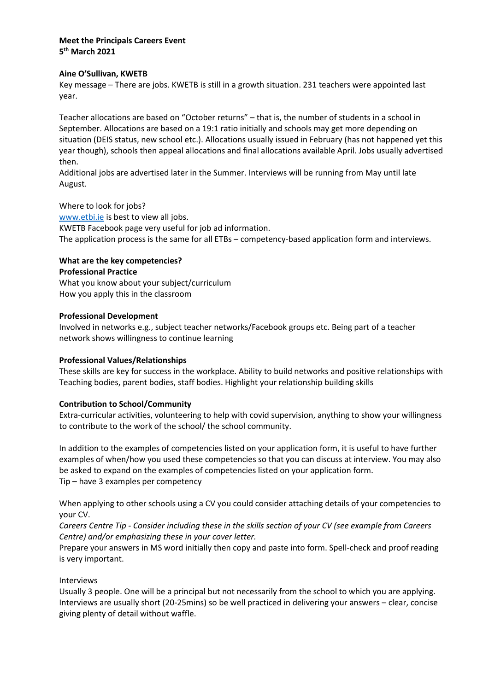# **Meet the Principals Careers Event 5 th March 2021**

### **Aine O'Sullivan, KWETB**

Key message – There are jobs. KWETB is still in a growth situation. 231 teachers were appointed last year.

Teacher allocations are based on "October returns" – that is, the number of students in a school in September. Allocations are based on a 19:1 ratio initially and schools may get more depending on situation (DEIS status, new school etc.). Allocations usually issued in February (has not happened yet this year though), schools then appeal allocations and final allocations available April. Jobs usually advertised then.

Additional jobs are advertised later in the Summer. Interviews will be running from May until late August.

#### Where to look for jobs?

[www.etbi.ie](http://www.etbi.ie/) is best to view all jobs. KWETB Facebook page very useful for job ad information. The application process is the same for all ETBs – competency-based application form and interviews.

# **What are the key competencies?**

#### **Professional Practice**

What you know about your subject/curriculum How you apply this in the classroom

### **Professional Development**

Involved in networks e.g., subject teacher networks/Facebook groups etc. Being part of a teacher network shows willingness to continue learning

### **Professional Values/Relationships**

These skills are key for success in the workplace. Ability to build networks and positive relationships with Teaching bodies, parent bodies, staff bodies. Highlight your relationship building skills

### **Contribution to School/Community**

Extra-curricular activities, volunteering to help with covid supervision, anything to show your willingness to contribute to the work of the school/ the school community.

In addition to the examples of competencies listed on your application form, it is useful to have further examples of when/how you used these competencies so that you can discuss at interview. You may also be asked to expand on the examples of competencies listed on your application form. Tip – have 3 examples per competency

When applying to other schools using a CV you could consider attaching details of your competencies to your CV.

*Careers Centre Tip - Consider including these in the skills section of your CV (see example from Careers Centre) and/or emphasizing these in your cover letter.*

Prepare your answers in MS word initially then copy and paste into form. Spell-check and proof reading is very important.

### Interviews

Usually 3 people. One will be a principal but not necessarily from the school to which you are applying. Interviews are usually short (20-25mins) so be well practiced in delivering your answers – clear, concise giving plenty of detail without waffle.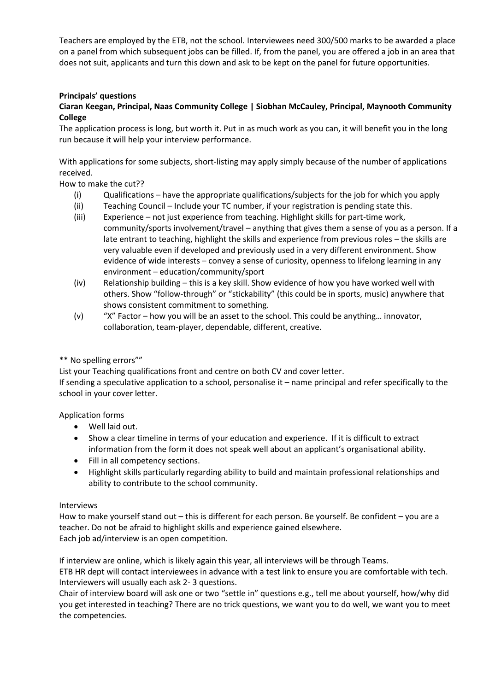Teachers are employed by the ETB, not the school. Interviewees need 300/500 marks to be awarded a place on a panel from which subsequent jobs can be filled. If, from the panel, you are offered a job in an area that does not suit, applicants and turn this down and ask to be kept on the panel for future opportunities.

# **Principals' questions**

### **Ciaran Keegan, Principal, Naas Community College | Siobhan McCauley, Principal, Maynooth Community College**

The application process is long, but worth it. Put in as much work as you can, it will benefit you in the long run because it will help your interview performance.

With applications for some subjects, short-listing may apply simply because of the number of applications received.

How to make the cut??

- (i) Qualifications have the appropriate qualifications/subjects for the job for which you apply
- (ii) Teaching Council Include your TC number, if your registration is pending state this.
- (iii) Experience not just experience from teaching. Highlight skills for part-time work, community/sports involvement/travel – anything that gives them a sense of you as a person. If a late entrant to teaching, highlight the skills and experience from previous roles – the skills are very valuable even if developed and previously used in a very different environment. Show evidence of wide interests – convey a sense of curiosity, openness to lifelong learning in any environment – education/community/sport
- (iv) Relationship building this is a key skill. Show evidence of how you have worked well with others. Show "follow-through" or "stickability" (this could be in sports, music) anywhere that shows consistent commitment to something.
- (v) "X" Factor how you will be an asset to the school. This could be anything… innovator, collaboration, team-player, dependable, different, creative.

### \*\* No spelling errors""

List your Teaching qualifications front and centre on both CV and cover letter. If sending a speculative application to a school, personalise it – name principal and refer specifically to the school in your cover letter.

### Application forms

- Well laid out.
- Show a clear timeline in terms of your education and experience. If it is difficult to extract information from the form it does not speak well about an applicant's organisational ability.
- Fill in all competency sections.
- Highlight skills particularly regarding ability to build and maintain professional relationships and ability to contribute to the school community.

### Interviews

How to make yourself stand out – this is different for each person. Be yourself. Be confident – you are a teacher. Do not be afraid to highlight skills and experience gained elsewhere. Each job ad/interview is an open competition.

If interview are online, which is likely again this year, all interviews will be through Teams.

ETB HR dept will contact interviewees in advance with a test link to ensure you are comfortable with tech. Interviewers will usually each ask 2- 3 questions.

Chair of interview board will ask one or two "settle in" questions e.g., tell me about yourself, how/why did you get interested in teaching? There are no trick questions, we want you to do well, we want you to meet the competencies.